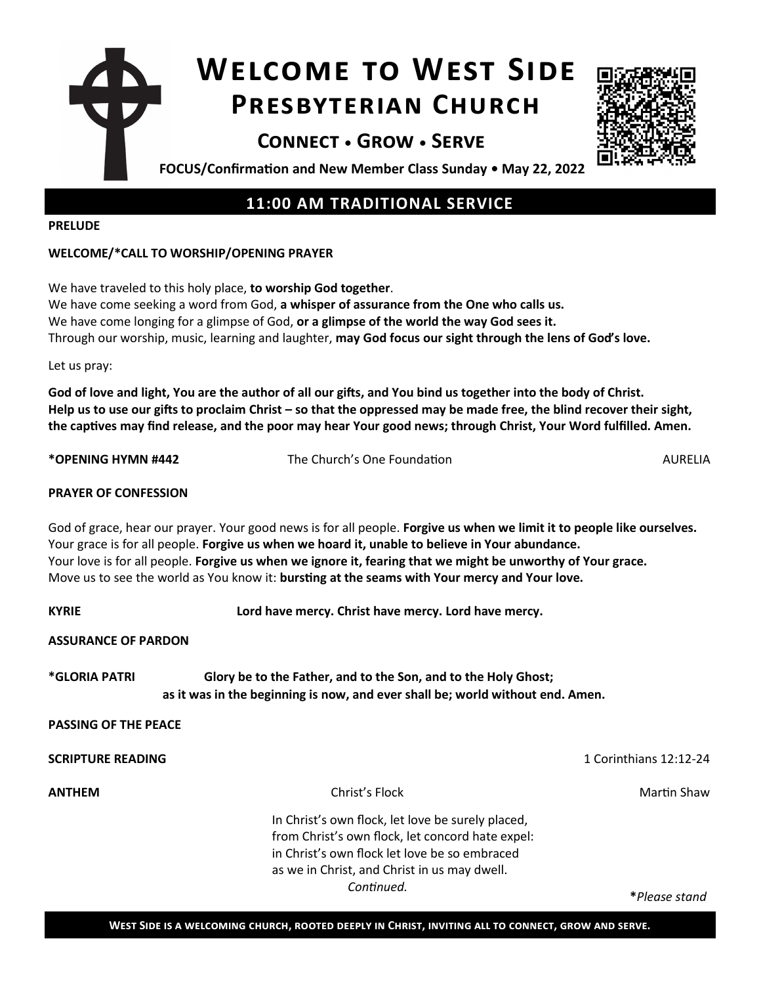# **Welcome to West Side Presbyterian Church**





**FOCUS/Confirmation and New Member Class Sunday • May 22, 2022**

## **11:00 AM TRADITIONAL SERVICE**

#### **PRELUDE**

### **WELCOME/\*CALL TO WORSHIP/OPENING PRAYER**

We have traveled to this holy place, **to worship God together**. We have come seeking a word from God, **a whisper of assurance from the One who calls us.** We have come longing for a glimpse of God, **or a glimpse of the world the way God sees it.** Through our worship, music, learning and laughter, **may God focus our sight through the lens of God's love.**

Let us pray:

**God of love and light, You are the author of all our gifts, and You bind us together into the body of Christ. Help us to use our gifts to proclaim Christ – so that the oppressed may be made free, the blind recover their sight, the captives may find release, and the poor may hear Your good news; through Christ, Your Word fulfilled. Amen.**

**\*OPENING HYMN #442** The Church's One Foundation AURELIA

### **PRAYER OF CONFESSION**

God of grace, hear our prayer. Your good news is for all people. **Forgive us when we limit it to people like ourselves.** Your grace is for all people. **Forgive us when we hoard it, unable to believe in Your abundance.** Your love is for all people. **Forgive us when we ignore it, fearing that we might be unworthy of Your grace.** Move us to see the world as You know it: **bursting at the seams with Your mercy and Your love.**

KYRIE **Lord have mercy. Christ have mercy.** Lord have mercy. **ASSURANCE OF PARDON**

**\*GLORIA PATRI Glory be to the Father, and to the Son, and to the Holy Ghost; as it was in the beginning is now, and ever shall be; world without end. Amen.** 

**PASSING OF THE PEACE** 

**SCRIPTURE READING** 1 Corinthians 12:12-24

**ANTHEM** Martin Shaw

In Christ's own flock, let love be surely placed, from Christ's own flock, let concord hate expel: in Christ's own flock let love be so embraced as we in Christ, and Christ in us may dwell. *Continued.* 

**\****Please stand*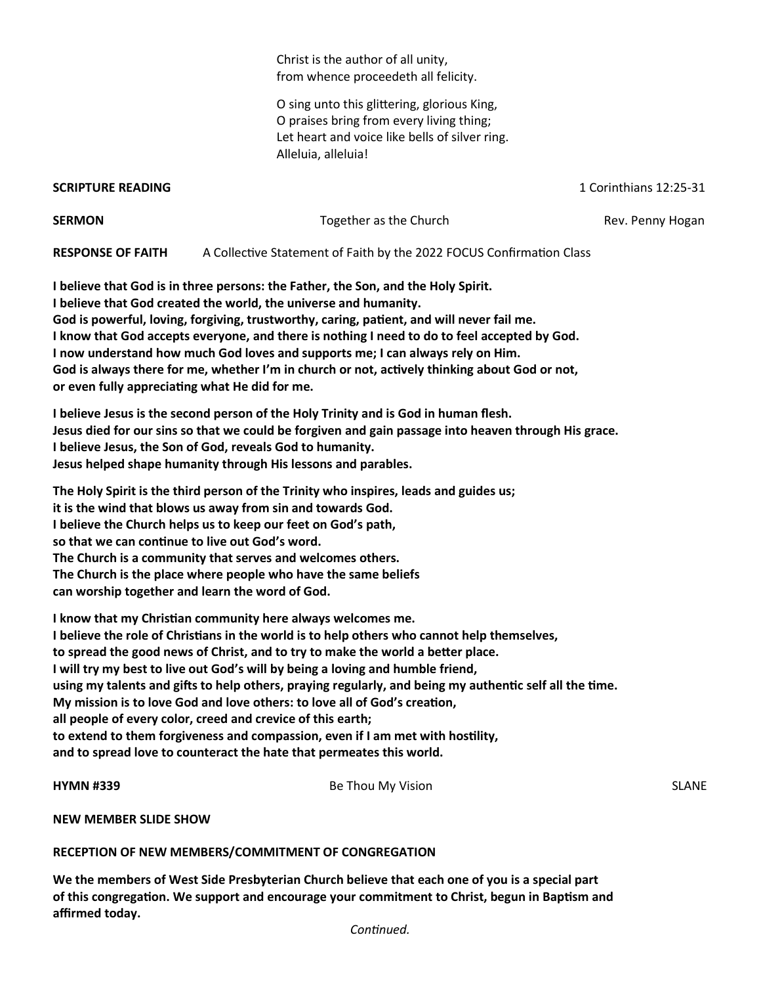Christ is the author of all unity, from whence proceedeth all felicity.

O sing unto this glittering, glorious King, O praises bring from every living thing; Let heart and voice like bells of silver ring. Alleluia, alleluia!

**SCRIPTURE READING** 1 Corinthians 12:25-31

| <b>SERMON</b>            | Together as the Church                                               | Rev. Penny Hogan |
|--------------------------|----------------------------------------------------------------------|------------------|
| <b>RESPONSE OF FAITH</b> | A Collective Statement of Faith by the 2022 FOCUS Confirmation Class |                  |

**I believe that God is in three persons: the Father, the Son, and the Holy Spirit. I believe that God created the world, the universe and humanity. God is powerful, loving, forgiving, trustworthy, caring, patient, and will never fail me. I know that God accepts everyone, and there is nothing I need to do to feel accepted by God. I now understand how much God loves and supports me; I can always rely on Him. God is always there for me, whether I'm in church or not, actively thinking about God or not, or even fully appreciating what He did for me.**

**I believe Jesus is the second person of the Holy Trinity and is God in human flesh. Jesus died for our sins so that we could be forgiven and gain passage into heaven through His grace. I believe Jesus, the Son of God, reveals God to humanity. Jesus helped shape humanity through His lessons and parables.**

**The Holy Spirit is the third person of the Trinity who inspires, leads and guides us; it is the wind that blows us away from sin and towards God. I believe the Church helps us to keep our feet on God's path, so that we can continue to live out God's word. The Church is a community that serves and welcomes others. The Church is the place where people who have the same beliefs can worship together and learn the word of God.**

**I know that my Christian community here always welcomes me. I believe the role of Christians in the world is to help others who cannot help themselves, to spread the good news of Christ, and to try to make the world a better place. I will try my best to live out God's will by being a loving and humble friend, using my talents and gifts to help others, praying regularly, and being my authentic self all the time. My mission is to love God and love others: to love all of God's creation, all people of every color, creed and crevice of this earth; to extend to them forgiveness and compassion, even if I am met with hostility, and to spread love to counteract the hate that permeates this world.**

**HYMN #339** Be Thou My Vision SLANE

**NEW MEMBER SLIDE SHOW**

**RECEPTION OF NEW MEMBERS/COMMITMENT OF CONGREGATION** 

**We the members of West Side Presbyterian Church believe that each one of you is a special part of this congregation. We support and encourage your commitment to Christ, begun in Baptism and affirmed today.**

*Continued.*